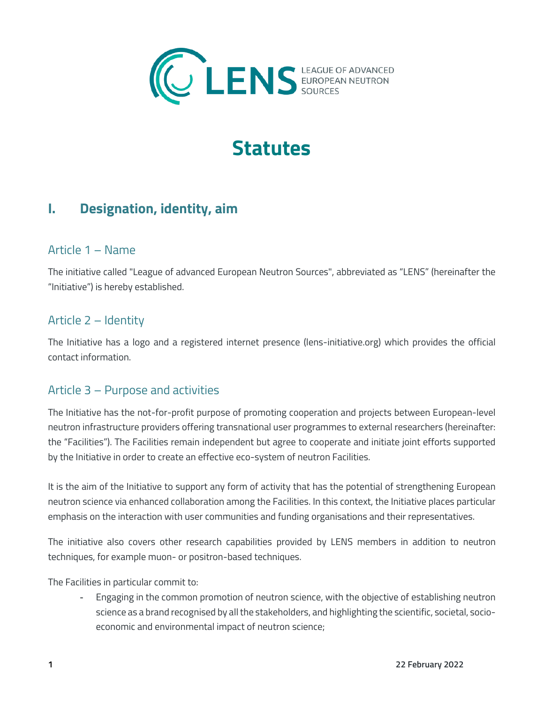

# **Statutes**

# **I. Designation, identity, aim**

### Article 1 – Name

The initiative called "League of advanced European Neutron Sources", abbreviated as "LENS" (hereinafter the "Initiative") is hereby established.

### Article 2 – Identity

The Initiative has a logo and a registered internet presence (lens-initiative.org) which provides the official contact information.

### Article 3 – Purpose and activities

The Initiative has the not-for-profit purpose of promoting cooperation and projects between European-level neutron infrastructure providers offering transnational user programmes to external researchers (hereinafter: the "Facilities"). The Facilities remain independent but agree to cooperate and initiate joint efforts supported by the Initiative in order to create an effective eco-system of neutron Facilities.

It is the aim of the Initiative to support any form of activity that has the potential of strengthening European neutron science via enhanced collaboration among the Facilities. In this context, the Initiative places particular emphasis on the interaction with user communities and funding organisations and their representatives.

The initiative also covers other research capabilities provided by LENS members in addition to neutron techniques, for example muon- or positron-based techniques.

The Facilities in particular commit to:

- Engaging in the common promotion of neutron science, with the objective of establishing neutron science as a brand recognised by all the stakeholders, and highlighting the scientific, societal, socioeconomic and environmental impact of neutron science;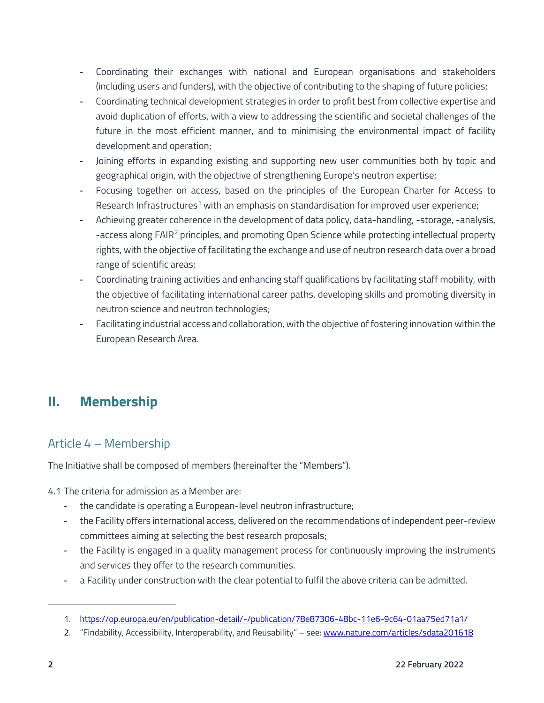- Coordinating their exchanges with national and European organisations and stakeholders (including users and funders), with the objective of contributing to the shaping of future policies;
- Coordinating technical development strategies in order to profit best from collective expertise and avoid duplication of efforts, with a view to addressing the scientific and societal challenges of the future in the most efficient manner, and to minimising the environmental impact of facility development and operation;
- Joining efforts in expanding existing and supporting new user communities both by topic and geographical origin, with the objective of strengthening Europe's neutron expertise;
- Focusing together on access, based on the principles of the European Charter for Access to Research Infrastructures<sup>[1](#page-1-0)</sup> with an emphasis on standardisation for improved user experience;
- Achieving greater coherence in the development of data policy, data-handling, -storage, -analysis, -access along FAIR<sup>[2](#page-1-1)</sup> principles, and promoting Open Science while protecting intellectual property rights, with the objective of facilitating the exchange and use of neutron research data over a broad range of scientific areas;
- Coordinating training activities and enhancing staff qualifications by facilitating staff mobility, with the objective of facilitating international career paths, developing skills and promoting diversity in neutron science and neutron technologies;
- Facilitating industrial access and collaboration, with the objective of fostering innovation within the European Research Area.

# **II. Membership**

# Article 4 – Membership

The Initiative shall be composed of members (hereinafter the "Members").

4.1 The criteria for admission as a Member are:

- the candidate is operating a European-level neutron infrastructure;
- the Facility offers international access, delivered on the recommendations of independent peer-review committees aiming at selecting the best research proposals;
- the Facility is engaged in a quality management process for continuously improving the instruments and services they offer to the research communities.
- a Facility under construction with the clear potential to fulfil the above criteria can be admitted.

<span id="page-1-0"></span><sup>1.</sup> <https://op.europa.eu/en/publication-detail/-/publication/78e87306-48bc-11e6-9c64-01aa75ed71a1/>

<span id="page-1-1"></span><sup>2. &</sup>quot;Findability, Accessibility, Interoperability, and Reusability" – see: [www.nature.com/articles/sdata201618](http://www.nature.com/articles/sdata201618)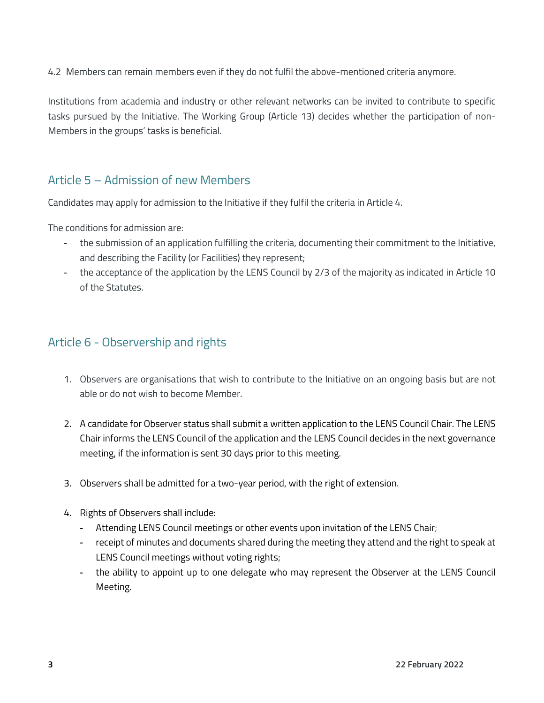4.2 Members can remain members even if they do not fulfil the above-mentioned criteria anymore.

Institutions from academia and industry or other relevant networks can be invited to contribute to specific tasks pursued by the Initiative. The Working Group (Article 13) decides whether the participation of non-Members in the groups' tasks is beneficial.

### Article 5 – Admission of new Members

Candidates may apply for admission to the Initiative if they fulfil the criteria in Article 4.

The conditions for admission are:

- the submission of an application fulfilling the criteria, documenting their commitment to the Initiative, and describing the Facility (or Facilities) they represent;
- the acceptance of the application by the LENS Council by 2/3 of the majority as indicated in Article 10 of the Statutes.

### Article 6 - Observership and rights

- 1. Observers are organisations that wish to contribute to the Initiative on an ongoing basis but are not able or do not wish to become Member.
- 2. A candidate for Observer status shall submit a written application to the LENS Council Chair. The LENS Chair informs the LENS Council of the application and the LENS Council decides in the next governance meeting, if the information is sent 30 days prior to this meeting.
- 3. Observers shall be admitted for a two-year period, with the right of extension.
- 4. Rights of Observers shall include:
	- Attending LENS Council meetings or other events upon invitation of the LENS Chair;
	- receipt of minutes and documents shared during the meeting they attend and the right to speak at LENS Council meetings without voting rights;
	- the ability to appoint up to one delegate who may represent the Observer at the LENS Council Meeting.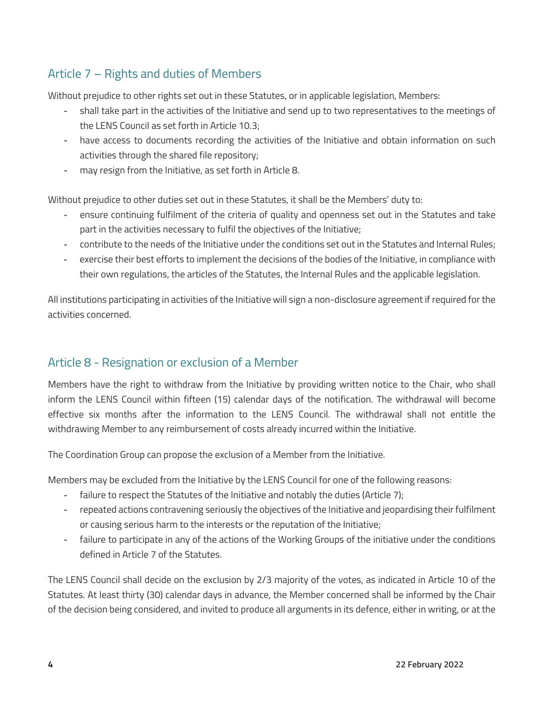# Article 7 – Rights and duties of Members

Without prejudice to other rights set out in these Statutes, or in applicable legislation, Members:

- shall take part in the activities of the Initiative and send up to two representatives to the meetings of the LENS Council as set forth in Article 10.3;
- have access to documents recording the activities of the Initiative and obtain information on such activities through the shared file repository;
- may resign from the Initiative, as set forth in Article 8.

Without prejudice to other duties set out in these Statutes, it shall be the Members' duty to:

- ensure continuing fulfilment of the criteria of quality and openness set out in the Statutes and take part in the activities necessary to fulfil the objectives of the Initiative;
- contribute to the needs of the Initiative under the conditions set out in the Statutes and Internal Rules;
- exercise their best efforts to implement the decisions of the bodies of the Initiative, in compliance with their own regulations, the articles of the Statutes, the Internal Rules and the applicable legislation.

All institutions participating in activities of the Initiative will sign a non-disclosure agreement if required for the activities concerned.

## Article 8 - Resignation or exclusion of a Member

Members have the right to withdraw from the Initiative by providing written notice to the Chair, who shall inform the LENS Council within fifteen (15) calendar days of the notification. The withdrawal will become effective six months after the information to the LENS Council. The withdrawal shall not entitle the withdrawing Member to any reimbursement of costs already incurred within the Initiative.

The Coordination Group can propose the exclusion of a Member from the Initiative.

Members may be excluded from the Initiative by the LENS Council for one of the following reasons:

- failure to respect the Statutes of the Initiative and notably the duties (Article 7);
- repeated actions contravening seriously the objectives of the Initiative and jeopardising their fulfilment or causing serious harm to the interests or the reputation of the Initiative;
- failure to participate in any of the actions of the Working Groups of the initiative under the conditions defined in Article 7 of the Statutes.

The LENS Council shall decide on the exclusion by 2/3 majority of the votes, as indicated in Article 10 of the Statutes. At least thirty (30) calendar days in advance, the Member concerned shall be informed by the Chair of the decision being considered, and invited to produce all arguments in its defence, either in writing, or at the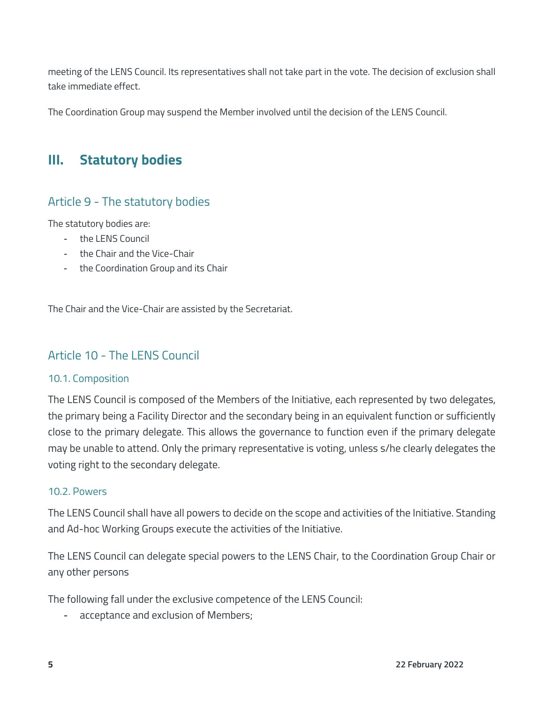meeting of the LENS Council. Its representatives shall not take part in the vote. The decision of exclusion shall take immediate effect.

The Coordination Group may suspend the Member involved until the decision of the LENS Council.

# **III. Statutory bodies**

# Article 9 - The statutory bodies

The statutory bodies are:

- the LENS Council
- the Chair and the Vice-Chair
- the Coordination Group and its Chair

The Chair and the Vice-Chair are assisted by the Secretariat.

## Article 10 - The LENS Council

#### 10.1. Composition

The LENS Council is composed of the Members of the Initiative, each represented by two delegates, the primary being a Facility Director and the secondary being in an equivalent function or sufficiently close to the primary delegate. This allows the governance to function even if the primary delegate may be unable to attend. Only the primary representative is voting, unless s/he clearly delegates the voting right to the secondary delegate.

#### 10.2. Powers

The LENS Council shall have all powers to decide on the scope and activities of the Initiative. Standing and Ad-hoc Working Groups execute the activities of the Initiative.

The LENS Council can delegate special powers to the LENS Chair, to the Coordination Group Chair or any other persons

The following fall under the exclusive competence of the LENS Council:

acceptance and exclusion of Members;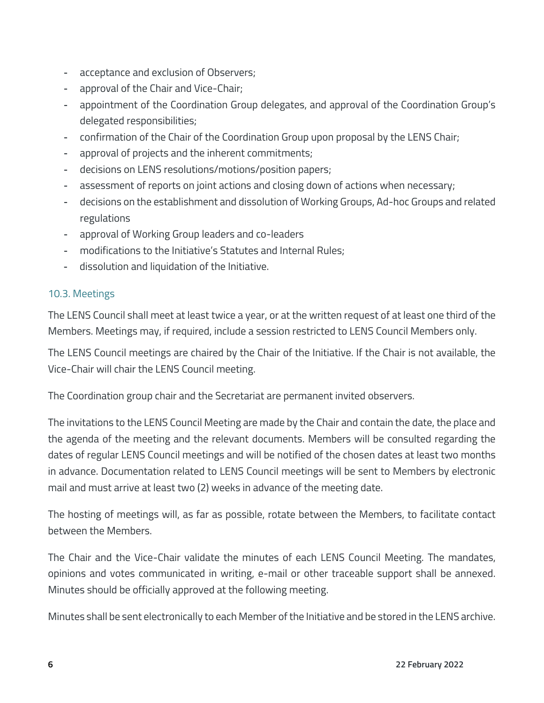- acceptance and exclusion of Observers;
- approval of the Chair and Vice-Chair;
- appointment of the Coordination Group delegates, and approval of the Coordination Group's delegated responsibilities;
- confirmation of the Chair of the Coordination Group upon proposal by the LENS Chair;
- approval of projects and the inherent commitments;
- decisions on LENS resolutions/motions/position papers;
- assessment of reports on joint actions and closing down of actions when necessary;
- decisions on the establishment and dissolution of Working Groups, Ad-hoc Groups and related regulations
- approval of Working Group leaders and co-leaders
- modifications to the Initiative's Statutes and Internal Rules;
- dissolution and liquidation of the Initiative.

#### 10.3. Meetings

The LENS Council shall meet at least twice a year, or at the written request of at least one third of the Members. Meetings may, if required, include a session restricted to LENS Council Members only.

The LENS Council meetings are chaired by the Chair of the Initiative. If the Chair is not available, the Vice-Chair will chair the LENS Council meeting.

The Coordination group chair and the Secretariat are permanent invited observers.

The invitations to the LENS Council Meeting are made by the Chair and contain the date, the place and the agenda of the meeting and the relevant documents. Members will be consulted regarding the dates of regular LENS Council meetings and will be notified of the chosen dates at least two months in advance. Documentation related to LENS Council meetings will be sent to Members by electronic mail and must arrive at least two (2) weeks in advance of the meeting date.

The hosting of meetings will, as far as possible, rotate between the Members, to facilitate contact between the Members.

The Chair and the Vice-Chair validate the minutes of each LENS Council Meeting. The mandates, opinions and votes communicated in writing, e-mail or other traceable support shall be annexed. Minutes should be officially approved at the following meeting.

Minutes shall be sent electronically to each Member of the Initiative and be stored in the LENS archive.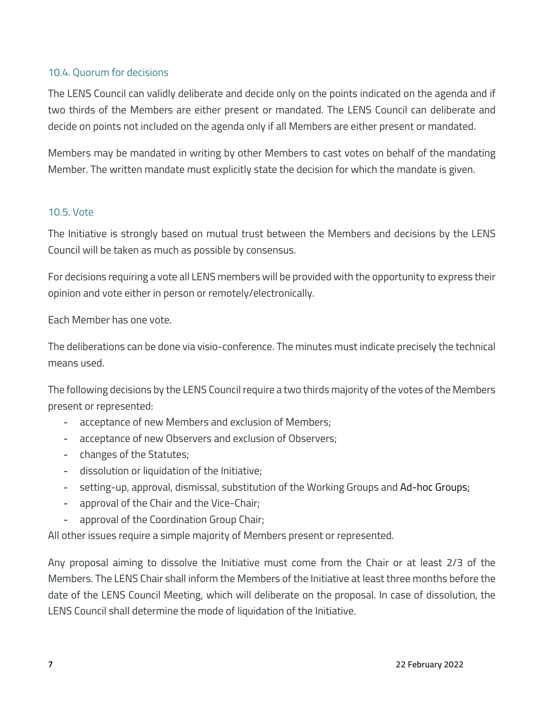#### 10.4. Quorum for decisions

The LENS Council can validly deliberate and decide only on the points indicated on the agenda and if two thirds of the Members are either present or mandated. The LENS Council can deliberate and decide on points not included on the agenda only if all Members are either present or mandated.

Members may be mandated in writing by other Members to cast votes on behalf of the mandating Member. The written mandate must explicitly state the decision for which the mandate is given.

#### 10.5. Vote

The Initiative is strongly based on mutual trust between the Members and decisions by the LENS Council will be taken as much as possible by consensus.

For decisions requiring a vote all LENS members will be provided with the opportunity to express their opinion and vote either in person or remotely/electronically.

Each Member has one vote.

The deliberations can be done via visio-conference. The minutes must indicate precisely the technical means used.

The following decisions by the LENS Council require a two thirds majority of the votes of the Members present or represented:

- acceptance of new Members and exclusion of Members;
- acceptance of new Observers and exclusion of Observers;
- changes of the Statutes;
- dissolution or liquidation of the Initiative;
- setting-up, approval, dismissal, substitution of the Working Groups and Ad-hoc Groups;
- approval of the Chair and the Vice-Chair;
- approval of the Coordination Group Chair;

All other issues require a simple majority of Members present or represented.

Any proposal aiming to dissolve the Initiative must come from the Chair or at least 2/3 of the Members. The LENS Chair shall inform the Members of the Initiative at least three months before the date of the LENS Council Meeting, which will deliberate on the proposal. In case of dissolution, the LENS Council shall determine the mode of liquidation of the Initiative.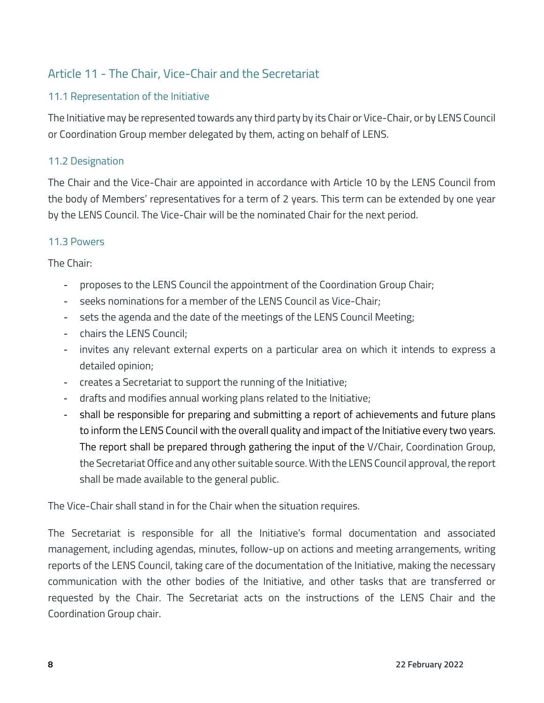# Article 11 - The Chair, Vice-Chair and the Secretariat

### 11.1 Representation of the Initiative

The Initiative may be represented towards any third party by its Chair or Vice-Chair, or by LENS Council or Coordination Group member delegated by them, acting on behalf of LENS.

### 11.2 Designation

The Chair and the Vice-Chair are appointed in accordance with Article 10 by the LENS Council from the body of Members' representatives for a term of 2 years. This term can be extended by one year by the LENS Council. The Vice-Chair will be the nominated Chair for the next period.

#### 11.3 Powers

The Chair:

- proposes to the LENS Council the appointment of the Coordination Group Chair;
- seeks nominations for a member of the LENS Council as Vice-Chair:
- sets the agenda and the date of the meetings of the LENS Council Meeting;
- chairs the LENS Council:
- invites any relevant external experts on a particular area on which it intends to express a detailed opinion;
- creates a Secretariat to support the running of the Initiative;
- drafts and modifies annual working plans related to the Initiative;
- shall be responsible for preparing and submitting a report of achievements and future plans to inform the LENS Council with the overall quality and impact of the Initiative every two years. The report shall be prepared through gathering the input of the V/Chair, Coordination Group, the SecretariatOffice and any other suitable source. With the LENS Council approval, the report shall be made available to the general public.

The Vice-Chair shall stand in for the Chair when the situation requires.

The Secretariat is responsible for all the Initiative's formal documentation and associated management, including agendas, minutes, follow-up on actions and meeting arrangements, writing reports of the LENS Council, taking care of the documentation of the Initiative, making the necessary communication with the other bodies of the Initiative, and other tasks that are transferred or requested by the Chair. The Secretariat acts on the instructions of the LENS Chair and the Coordination Group chair.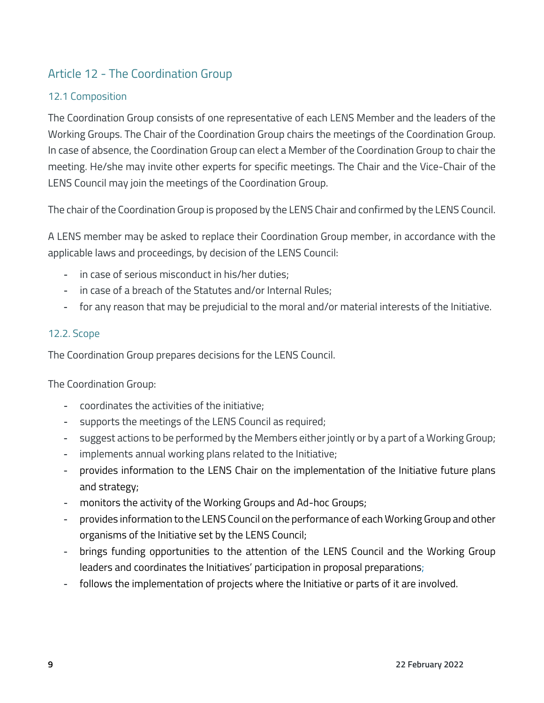# Article 12 - The Coordination Group

### 12.1 Composition

The Coordination Group consists of one representative of each LENS Member and the leaders of the Working Groups. The Chair of the Coordination Group chairs the meetings of the Coordination Group. In case of absence, the Coordination Group can elect a Member of the Coordination Group to chair the meeting. He/she may invite other experts for specific meetings. The Chair and the Vice-Chair of the LENS Council may join the meetings of the Coordination Group.

The chair of the Coordination Group is proposed by the LENS Chair and confirmed by the LENS Council.

A LENS member may be asked to replace their Coordination Group member, in accordance with the applicable laws and proceedings, by decision of the LENS Council:

- in case of serious misconduct in his/her duties;
- in case of a breach of the Statutes and/or Internal Rules;
- for any reason that may be prejudicial to the moral and/or material interests of the Initiative.

### 12.2. Scope

The Coordination Group prepares decisions for the LENS Council.

The Coordination Group:

- coordinates the activities of the initiative;
- supports the meetings of the LENS Council as required;
- suggest actions to be performed by the Members either jointly or by a part of a Working Group;
- implements annual working plans related to the Initiative;
- provides information to the LENS Chair on the implementation of the Initiative future plans and strategy;
- monitors the activity of the Working Groups and Ad-hoc Groups;
- provides information to the LENS Council on the performance of each Working Group and other organisms of the Initiative set by the LENS Council;
- brings funding opportunities to the attention of the LENS Council and the Working Group leaders and coordinates the Initiatives' participation in proposal preparations;
- follows the implementation of projects where the Initiative or parts of it are involved.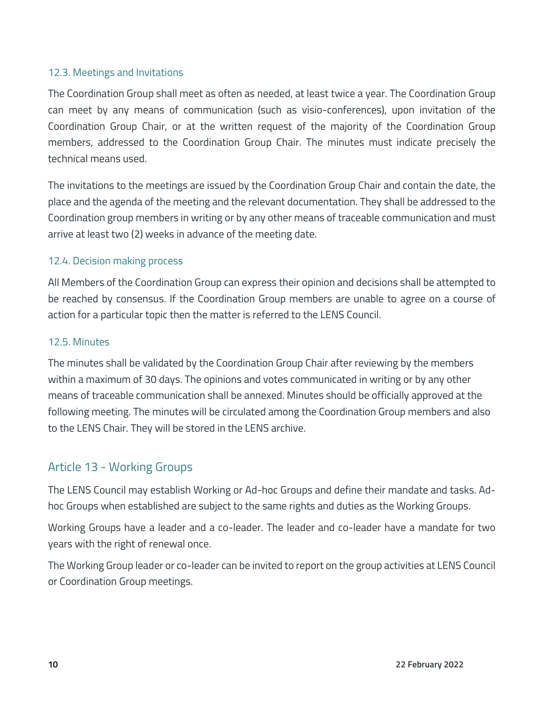#### 12.3. Meetings and Invitations

The Coordination Group shall meet as often as needed, at least twice a year. The Coordination Group can meet by any means of communication (such as visio-conferences), upon invitation of the Coordination Group Chair, or at the written request of the majority of the Coordination Group members, addressed to the Coordination Group Chair. The minutes must indicate precisely the technical means used.

The invitations to the meetings are issued by the Coordination Group Chair and contain the date, the place and the agenda of the meeting and the relevant documentation. They shall be addressed to the Coordination group members in writing or by any other means of traceable communication and must arrive at least two (2) weeks in advance of the meeting date.

### 12.4. Decision making process

All Members of the Coordination Group can express their opinion and decisions shall be attempted to be reached by consensus. If the Coordination Group members are unable to agree on a course of action for a particular topic then the matter is referred to the LENS Council.

#### 12.5. Minutes

The minutes shall be validated by the Coordination Group Chair after reviewing by the members within a maximum of 30 days. The opinions and votes communicated in writing or by any other means of traceable communication shall be annexed. Minutes should be officially approved at the following meeting. The minutes will be circulated among the Coordination Group members and also to the LENS Chair. They will be stored in the LENS archive.

### Article 13 - Working Groups

The LENS Council may establish Working or Ad-hoc Groups and define their mandate and tasks. Adhoc Groups when established are subject to the same rights and duties as the Working Groups.

Working Groups have a leader and a co-leader. The leader and co-leader have a mandate for two years with the right of renewal once.

The Working Group leader or co-leader can be invited to report on the group activities at LENS Council or Coordination Group meetings.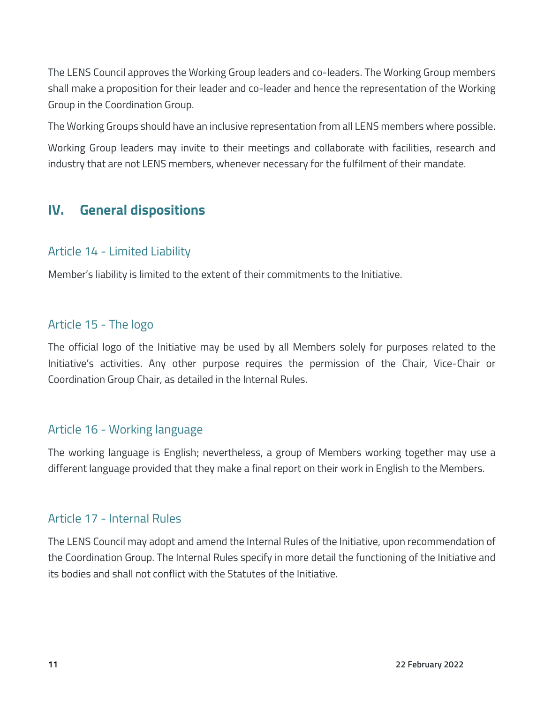The LENS Council approves the Working Group leaders and co-leaders. The Working Group members shall make a proposition for their leader and co-leader and hence the representation of the Working Group in the Coordination Group.

The Working Groups should have an inclusive representation from all LENS members where possible.

Working Group leaders may invite to their meetings and collaborate with facilities, research and industry that are not LENS members, whenever necessary for the fulfilment of their mandate.

# **IV. General dispositions**

### Article 14 - Limited Liability

Member's liability is limited to the extent of their commitments to the Initiative.

### Article 15 - The logo

The official logo of the Initiative may be used by all Members solely for purposes related to the Initiative's activities. Any other purpose requires the permission of the Chair, Vice-Chair or Coordination Group Chair, as detailed in the Internal Rules.

### Article 16 - Working language

The working language is English; nevertheless, a group of Members working together may use a different language provided that they make a final report on their work in English to the Members.

## Article 17 - Internal Rules

The LENS Council may adopt and amend the Internal Rules of the Initiative, upon recommendation of the Coordination Group. The Internal Rules specify in more detail the functioning of the Initiative and its bodies and shall not conflict with the Statutes of the Initiative.